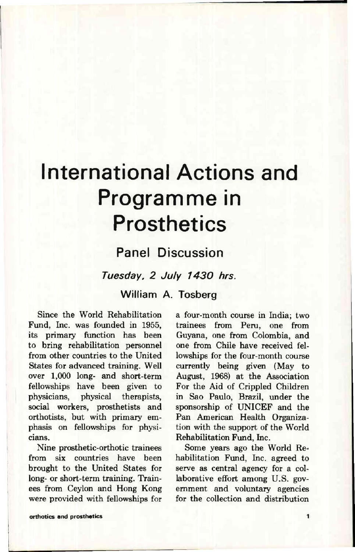## International Actions and Programme in **Prosthetics**

## Panel Discussion

*Tuesday, 2 July 1430 hrs.* 

**William A. Tosberg** 

Since the World Rehabilitation Fund, Inc. was founded in 1955, its primary function has been to bring rehabilitation personnel from other countries to the United States for advanced training. Well over 1,000 long- and short-term fellowships have been given to physicians, physical therapists, social workers, prosthetists and orthotists, but with primary emphasis on fellowships for physicians.

Nine prosthetic-orthotic trainees from six countries have been brought to the United States for long- or short-term training. Trainees from Ceylon and Hong Kong were provided with fellowships for a four-month course in India; two trainees from Peru, one from Guyana, one from Colombia, and one from Chile have received fellowships for the four-month course currently being given (May to August, 1968) at the Association For the Aid of Crippled Children in Sao Paulo, Brazil, under the sponsorship of UNICEF and the Pan American Health Organization with the support of the World Rehabilitation Fund, Inc.

Some years ago the World Rehabilitation Fund, Inc. agreed to serve as central agency for a collaborative effort among U.S. government and voluntary agencies for the collection and distribution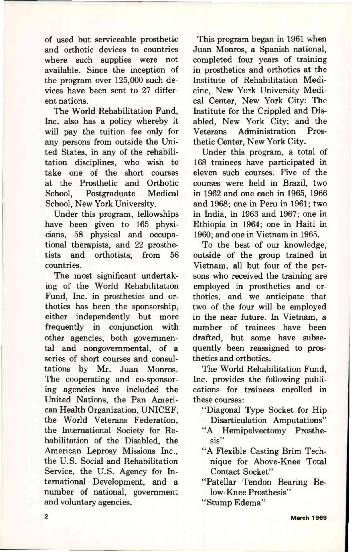of used but serviceable prosthetic and orthotic devices to countries where such supplies were not available. Since the inception of the program over 125,000 such devices have been sent to 27 different nations.

The World Rehabilitation Fund, Inc. also has a policy whereby it will pay the tuition fee only for any persons from outside the United States, in any of the rehabilitation disciplines, who wish to take one of the short courses at the Prosthetic and Orthotic School, Postgraduate Medical School, New York University.

Under this program, fellowships have been given to 165 physicians, 58 physical and occupational therapists, and 22 prosthe-<br>tists and orthotists, from 56 tists and countries.

The most significant undertaking of the World Rehabilitation Fund, Inc. in prosthetics and orthotics has been the sponsorship, either independently but more frequently in conjunction with other agencies, both governmental and nongovernmental, of a series of short courses and consultations by Mr. Juan Monros. The cooperating and co-sponsoring agencies have included the United Nations, the Pan American Health Organization, UNICEF, the World Veterans Federation, the International Society for Rehabilitation of the Disabled, the American Leprosy Missions Inc., the U.S. Social and Rehabilitation Service, the U.S. Agency for International Development, and a number of national, government and voluntary agencies.

This program began in 1961 when Juan Monros, a Spanish national, completed four years of training in prosthetics and orthotics at the Institute of Rehabilitation Medicine, New York University Medical Center, New York City: The Institute for the Crippled and Disabled, New York City; and the Veterans Administration Prosthetic Center, New York City.

Under this program, a total of 168 trainees have participated in eleven such courses. Five of the courses were held in Brazil, two in 1962 and one each in 1965, 1966 and 1968; one in Peru in 1961; two in India, in 1963 and 1967; one in Ethiopia in 1964; one in Haiti in 1960; and one in Vietnam in 1965.

To the best of our knowledge, outside of the group trained in Vietnam, all but four of the persons who received the training are employed in prosthetics and orthotics, and we anticipate that two of the four will be employed in the near future. In Vietnam, a number of trainees have been drafted, but some have subsequently been reassigned to prosthetics and orthotics.

The World Rehabilitation Fund, Inc. provides the following publications for trainees enrolled in these courses:

- "Diagonal Type Socket for Hip Disarticulation Amputations"
- "A Hemipelvectomy Prosthesis"
- "A Flexible Casting Brim Technique for Above-Knee Total Contact Socket"
- "Patellar Tendon Bearing Below-Knee Prosthesis"

"Stump Edema"

March 1969